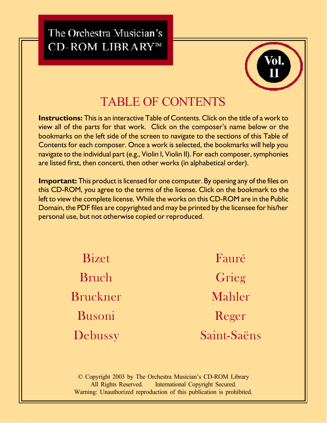The Orchestra Musician's CD-ROM LIBRARY™



# TABLE OF CONTENTS

**Instructions:** This is an interactive Table of Contents. Click on the title of a work to view all of the parts for that work. Click on the composer's name below or the bookmarks on the left side of the screen to navigate to the sections of this Table of Contents for each composer. Once a work is selected, the bookmarks will help you navigate to the individual part (e.g., Violin I, Violin II). For each composer, symphonies are listed first, then concerti, then other works (in alphabetical order).

**Important:** This product is licensed for one computer. By opening any of the files on this CD-ROM, you agree to the terms of the license. Click on the bookmark to the left to view the complete license. While the works on this CD-ROM are in the Public Domain, the PDF files are copyrighted and may be printed by the licensee for his/her personal use, but not otherwise copied or reproduced.

> [Bizet](#page-1-0) [Bruch](#page-1-0) [Bruckner](#page-1-0) [Busoni](#page-1-0) [Debussy](#page-2-0)

[Fauré](#page-2-0) [Grieg](#page-2-0) [Mahler](#page-3-0) [Reger](#page-3-0) [Saint-Saëns](#page-4-0)

© Copyright 2003 by The Orchestra Musician's CD-ROM Library All Rights Reserved. International Copyright Secured. Warning: Unauthorized reproduction of this publication is prohibited.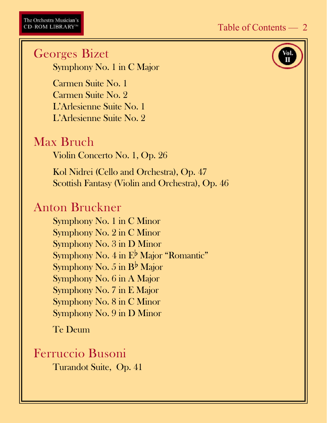<span id="page-1-0"></span>Georges Bizet Symphony No. 1 in C Major Carmen Suite No. 1 Carmen Suite No. 2 L'Arlesienne Suite No. 1 L'Arlesienne Suite No. 2 Max Bruch Violin Concerto No. 1, Op. 26 Kol Nidrei (Cello and Orchestra), Op. 47 Scottish Fantasy (Violin and Orchestra), Op. 46 Anton Bruckner Symphony No. 1 in C Minor Symphony No. 2 in C Minor Symphony No. 3 in D Minor Symphony No.  $4$  in  $E^{\flat}$  Major "Romantic" Symphony No. 5 in  $B^{\flat}$  Major Symphony No. 6 in A Major Symphony No. 7 in E Major Symphony No. 8 in C Minor Symphony No. 9 in D Minor Te Deum

#### Ferruccio Busoni

Turandot Suite, Op. 41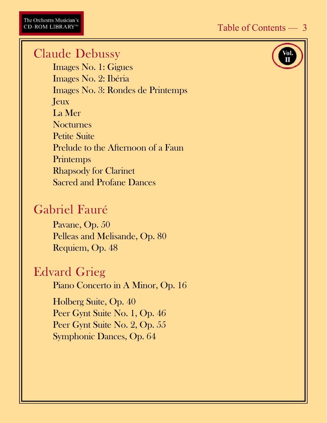#### <span id="page-2-0"></span>Claude Debussy

Images No. 1: Gigues Images No. 2: Ibéria Images No. 3: Rondes de Printemps Jeux La Mer **Nocturnes** Petite Suite Prelude to the Afternoon of a Faun **Printemps** Rhapsody for Clarinet Sacred and Profane Dances

# Gabriel Fauré

Pavane, Op. 50 Pelleas and Melisande, Op. 80 Requiem, Op. 48

## Edvard Grieg

Piano Concerto in A Minor, Op. 16

Holberg Suite, Op. 40 Peer Gynt Suite No. 1, Op. 46 Peer Gynt Suite No. 2, Op. 55 Symphonic Dances, Op. 64

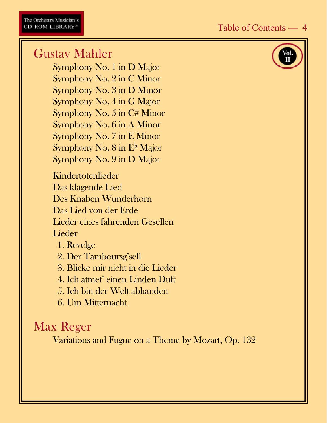## <span id="page-3-0"></span>Gustav Mahler

Symphony No. 1 in D Major Symphony No. 2 in C Minor Symphony No. 3 in D Minor Symphony No. 4 in G Major Symphony No. 5 in C# Minor Symphony No. 6 in A Minor Symphony No. 7 in E Minor Symphony No. 8 in  $E^{\flat}$  Major Symphony No. 9 in D Major

Kindertotenlieder Das klagende Lied Des Knaben Wunderhorn Das Lied von der Erde Lieder eines fahrenden Gesellen Lieder

1. Revelge

2. Der Tamboursg'sell

3. Blicke mir nicht in die Lieder

4. Ich atmet' einen Linden Duft

5. Ich bin der Welt abhanden

6. Um Mitternacht

## Max Reger

Variations and Fugue on a Theme by Mozart, Op. 132